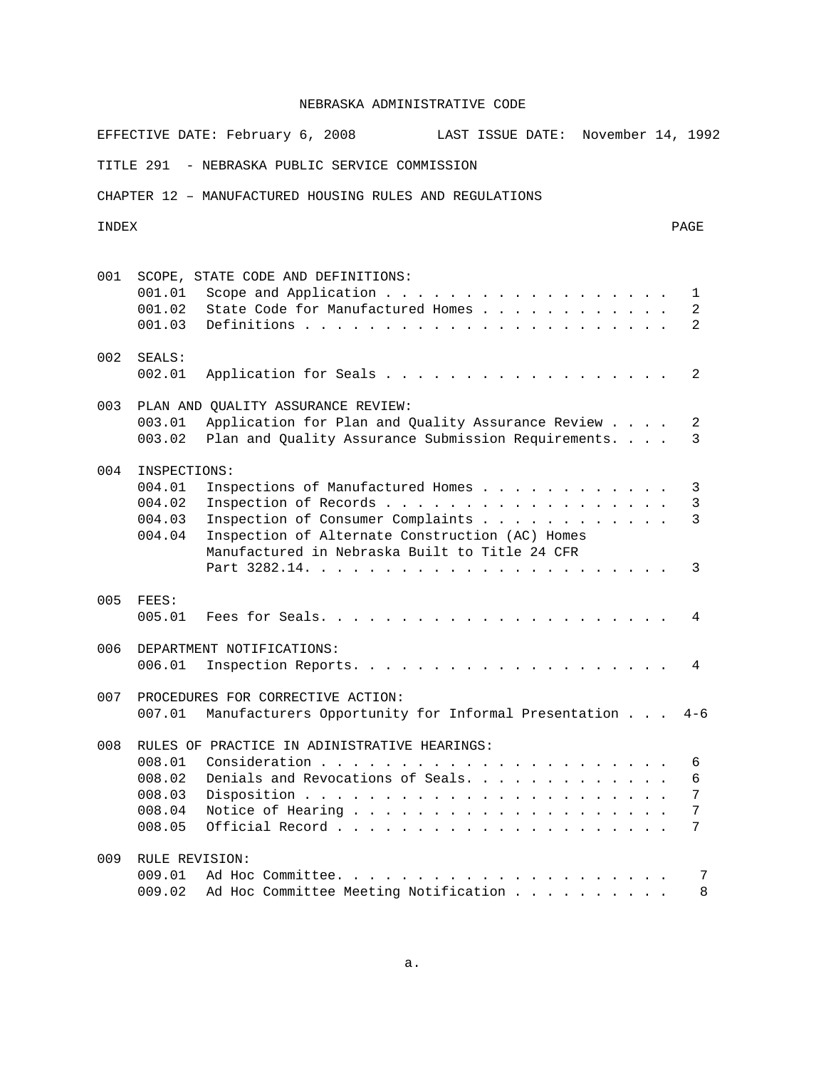EFFECTIVE DATE: February 6, 2008 LAST ISSUE DATE: November 14, 1992

TITLE 291 - NEBRASKA PUBLIC SERVICE COMMISSION

CHAPTER 12 – MANUFACTURED HOUSING RULES AND REGULATIONS

#### INDEX PAGE

| 001 | 001.01                                               | SCOPE, STATE CODE AND DEFINITIONS:<br>Scope and Application<br>1                                                                                                                                                         |
|-----|------------------------------------------------------|--------------------------------------------------------------------------------------------------------------------------------------------------------------------------------------------------------------------------|
|     | 001.02<br>001.03                                     | State Code for Manufactured Homes<br>2<br>Definitions<br>2<br>$\frac{1}{2}$                                                                                                                                              |
| 002 | SEALS:<br>002.01                                     | Application for Seals<br>2                                                                                                                                                                                               |
| 003 | 003.01<br>003.02                                     | PLAN AND OUALITY ASSURANCE REVIEW:<br>Application for Plan and Quality Assurance Review<br>2<br>Plan and Quality Assurance Submission Requirements.<br>3                                                                 |
| 004 | INSPECTIONS:<br>004.01<br>004.02<br>004.03<br>004.04 | Inspections of Manufactured Homes<br>3<br>Inspection of Records<br>3<br>Inspection of Consumer Complaints<br>3<br>Inspection of Alternate Construction (AC) Homes<br>Manufactured in Nebraska Built to Title 24 CFR<br>3 |
| 005 | FEES:<br>005.01                                      | 4                                                                                                                                                                                                                        |
| 006 | 006.01                                               | DEPARTMENT NOTIFICATIONS:<br>Inspection Reports.<br>4                                                                                                                                                                    |
| 007 | 007.01                                               | PROCEDURES FOR CORRECTIVE ACTION:<br>Manufacturers Opportunity for Informal Presentation<br>$4 - 6$                                                                                                                      |
| 008 | 008.01<br>008.02<br>008.03<br>008.04<br>008.05       | RULES OF PRACTICE IN ADINISTRATIVE HEARINGS:<br>6<br>Denials and Revocations of Seals.<br>6<br>7<br>7<br>7                                                                                                               |
| 009 | RULE REVISION:<br>009.01<br>009.02                   | Ad Hoc Committee.<br>7<br>the contract of the contract of the contract of the contract of the contract of the contract of the contract of<br>Ad Hoc Committee Meeting Notification<br>8                                  |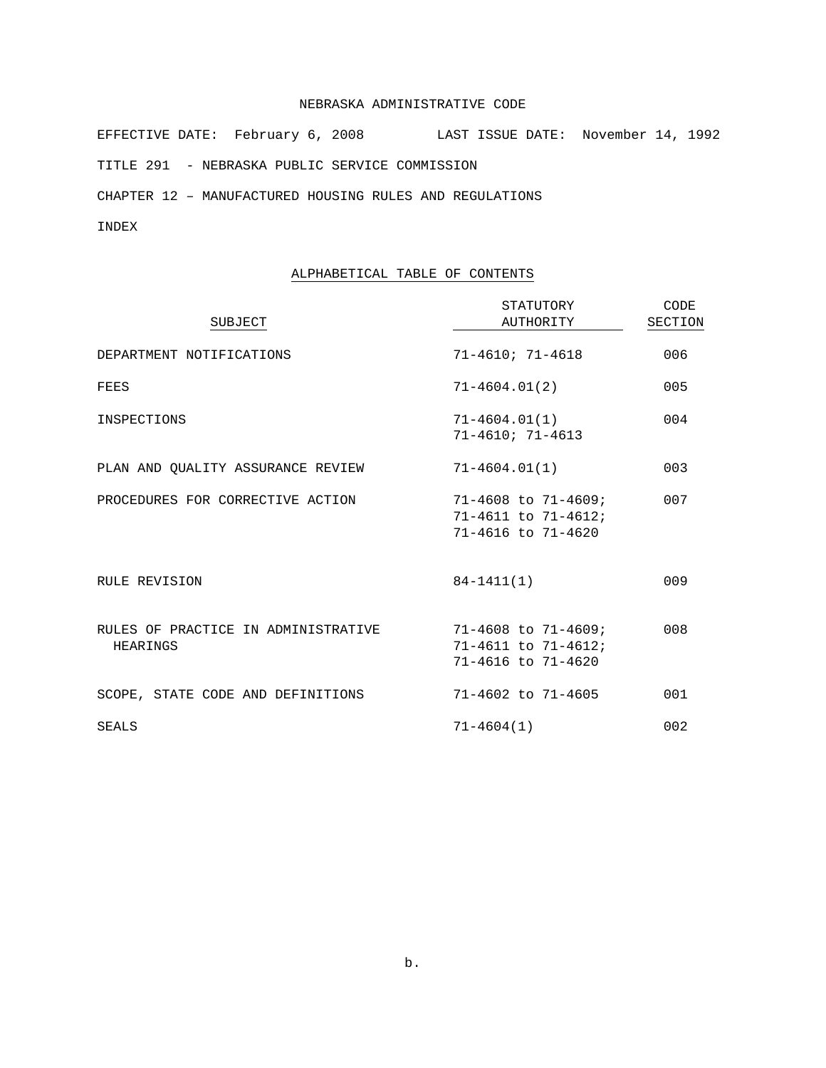EFFECTIVE DATE: February 6, 2008 LAST ISSUE DATE: November 14, 1992 TITLE 291 - NEBRASKA PUBLIC SERVICE COMMISSION

CHAPTER 12 – MANUFACTURED HOUSING RULES AND REGULATIONS

# INDEX

# ALPHABETICAL TABLE OF CONTENTS

| <b>SUBJECT</b>                                  | STATUTORY<br>AUTHORITY                                                                     | CODE<br>SECTION |
|-------------------------------------------------|--------------------------------------------------------------------------------------------|-----------------|
| DEPARTMENT NOTIFICATIONS                        | $71 - 4610; 71 - 4618$                                                                     | 006             |
| FEES                                            | 71-4604.01(2)                                                                              | 005             |
| INSPECTIONS                                     | $71 - 4604.01(1)$<br>$71 - 4610; 71 - 4613$                                                | 004             |
| PLAN AND QUALITY ASSURANCE REVIEW               | 71-4604.01(1)                                                                              | 003             |
| PROCEDURES FOR CORRECTIVE ACTION                | $71 - 4608$ to $71 - 4609$ ;<br>$71 - 4611$ to $71 - 4612$ ;<br>$71 - 4616$ to $71 - 4620$ | 007             |
| RULE REVISION                                   | $84 - 1411(1)$                                                                             | 009             |
| RULES OF PRACTICE IN ADMINISTRATIVE<br>HEARINGS | $71 - 4608$ to $71 - 4609$ ;<br>$71 - 4611$ to $71 - 4612$ ;<br>$71 - 4616$ to $71 - 4620$ | 008             |
| SCOPE, STATE CODE AND DEFINITIONS               | $71 - 4602$ to $71 - 4605$                                                                 | 001             |
| SEALS                                           | $71 - 4604(1)$                                                                             | 002             |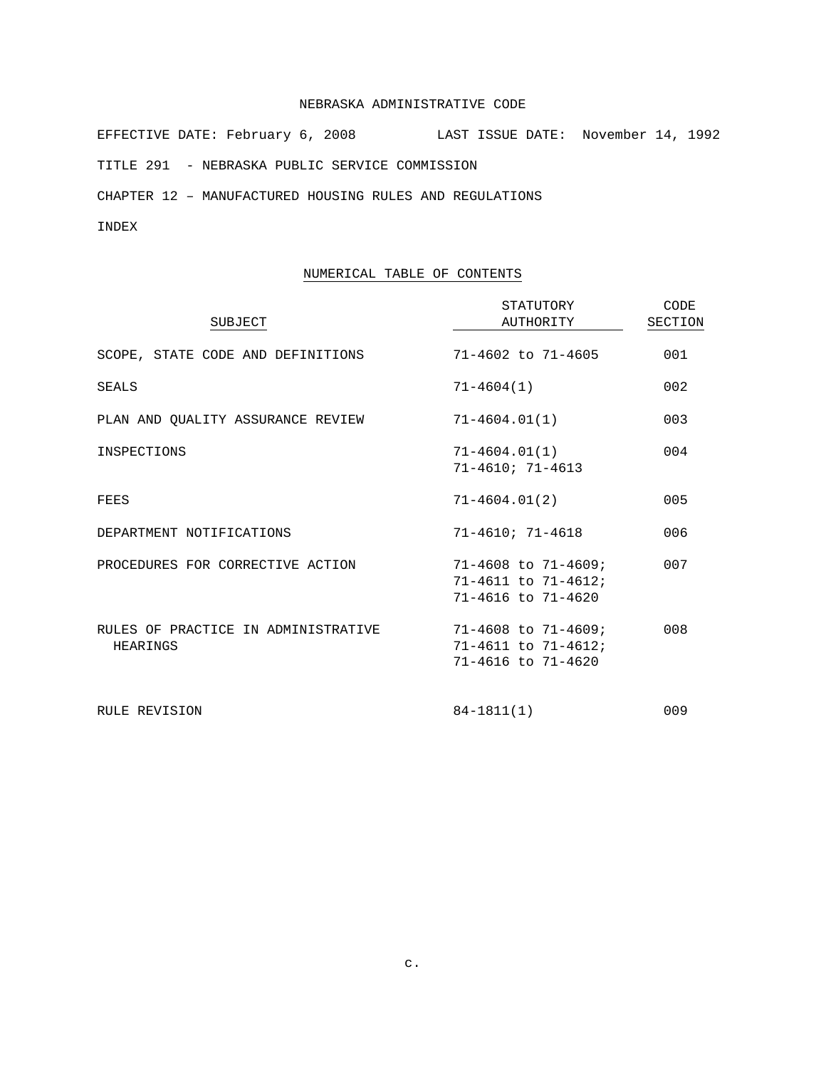EFFECTIVE DATE: February 6, 2008 LAST ISSUE DATE: November 14, 1992 TITLE 291 - NEBRASKA PUBLIC SERVICE COMMISSION

CHAPTER 12 – MANUFACTURED HOUSING RULES AND REGULATIONS

# INDEX

# NUMERICAL TABLE OF CONTENTS

| SUBJECT                                         | STATUTORY<br>AUTHORITY                                                                     | CODE<br>SECTION |
|-------------------------------------------------|--------------------------------------------------------------------------------------------|-----------------|
| SCOPE, STATE CODE AND DEFINITIONS               | $71 - 4602$ to $71 - 4605$                                                                 | 001             |
| <b>SEALS</b>                                    | $71 - 4604(1)$                                                                             | 002             |
| PLAN AND OUALITY ASSURANCE REVIEW               | $71 - 4604.01(1)$                                                                          | 003             |
| INSPECTIONS                                     | $71 - 4604.01(1)$<br>$71 - 4610$ ; $71 - 4613$                                             | 004             |
| FEES                                            | $71 - 4604.01(2)$                                                                          | 005             |
| DEPARTMENT NOTIFICATIONS                        | $71 - 4610; 71 - 4618$                                                                     | 006             |
| PROCEDURES FOR CORRECTIVE ACTION                | $71 - 4608$ to $71 - 4609$ ;<br>$71 - 4611$ to $71 - 4612$ ;<br>71-4616 to 71-4620         | 007             |
| RULES OF PRACTICE IN ADMINISTRATIVE<br>HEARINGS | $71 - 4608$ to $71 - 4609$ ;<br>$71 - 4611$ to $71 - 4612$ ;<br>$71 - 4616$ to $71 - 4620$ | 008             |
| RULE REVISION                                   | $84 - 1811(1)$                                                                             | 009             |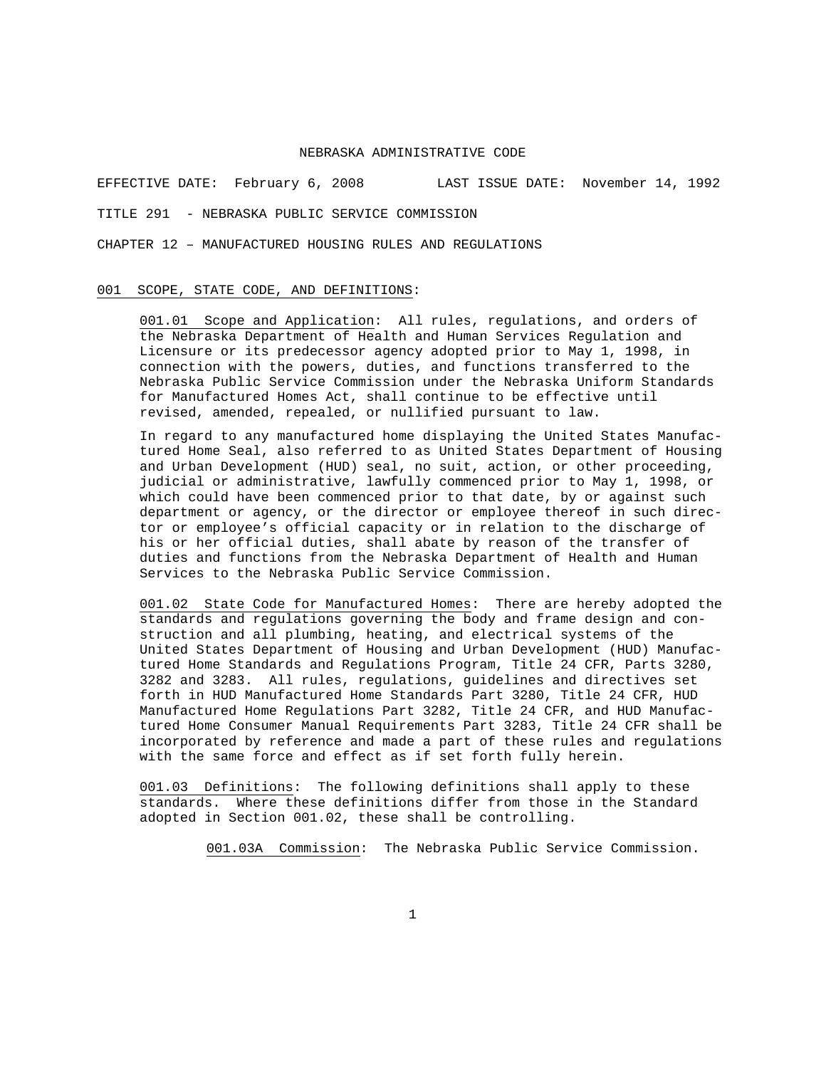EFFECTIVE DATE: February 6, 2008 LAST ISSUE DATE: November 14, 1992

TITLE 291 - NEBRASKA PUBLIC SERVICE COMMISSION

CHAPTER 12 – MANUFACTURED HOUSING RULES AND REGULATIONS

### 001 SCOPE, STATE CODE, AND DEFINITIONS:

001.01 Scope and Application: All rules, regulations, and orders of the Nebraska Department of Health and Human Services Regulation and Licensure or its predecessor agency adopted prior to May 1, 1998, in connection with the powers, duties, and functions transferred to the Nebraska Public Service Commission under the Nebraska Uniform Standards for Manufactured Homes Act, shall continue to be effective until revised, amended, repealed, or nullified pursuant to law.

In regard to any manufactured home displaying the United States Manufactured Home Seal, also referred to as United States Department of Housing and Urban Development (HUD) seal, no suit, action, or other proceeding, judicial or administrative, lawfully commenced prior to May 1, 1998, or which could have been commenced prior to that date, by or against such department or agency, or the director or employee thereof in such director or employee's official capacity or in relation to the discharge of his or her official duties, shall abate by reason of the transfer of duties and functions from the Nebraska Department of Health and Human Services to the Nebraska Public Service Commission.

001.02 State Code for Manufactured Homes: There are hereby adopted the standards and regulations governing the body and frame design and construction and all plumbing, heating, and electrical systems of the United States Department of Housing and Urban Development (HUD) Manufactured Home Standards and Regulations Program, Title 24 CFR, Parts 3280, 3282 and 3283. All rules, regulations, guidelines and directives set forth in HUD Manufactured Home Standards Part 3280, Title 24 CFR, HUD Manufactured Home Regulations Part 3282, Title 24 CFR, and HUD Manufactured Home Consumer Manual Requirements Part 3283, Title 24 CFR shall be incorporated by reference and made a part of these rules and regulations with the same force and effect as if set forth fully herein.

001.03 Definitions: The following definitions shall apply to these standards. Where these definitions differ from those in the Standard adopted in Section 001.02, these shall be controlling.

001.03A Commission: The Nebraska Public Service Commission.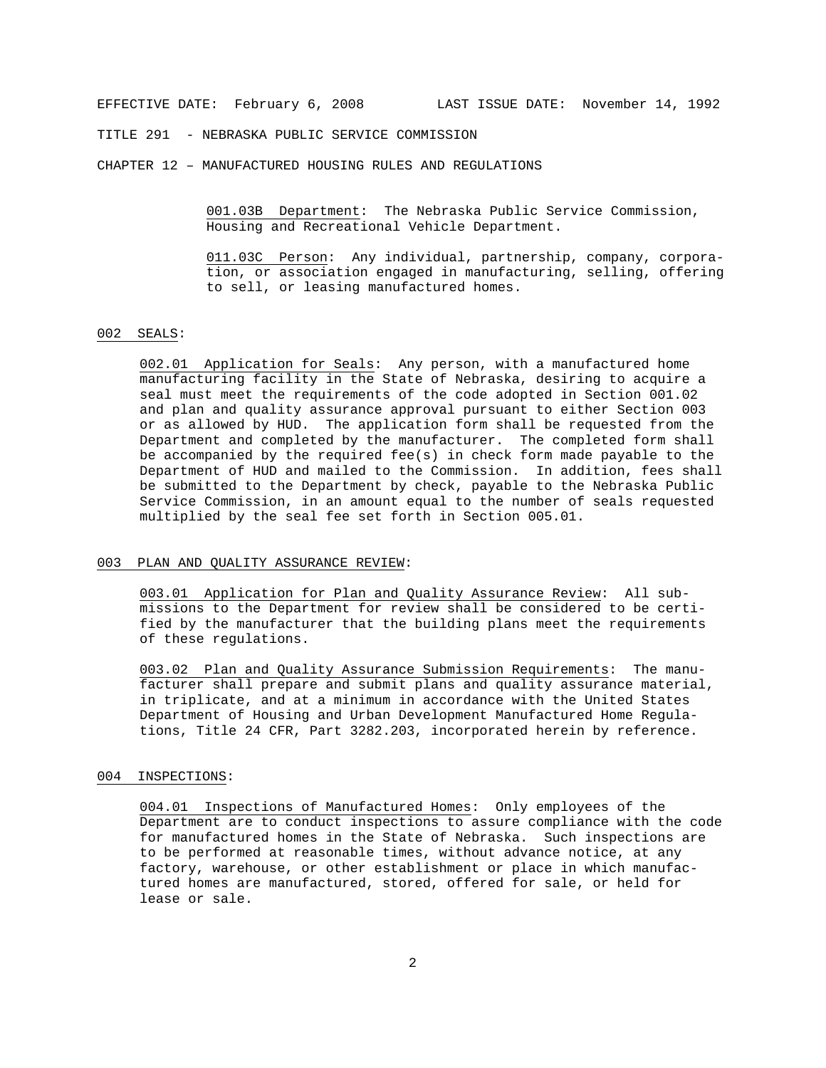TITLE 291 - NEBRASKA PUBLIC SERVICE COMMISSION

CHAPTER 12 – MANUFACTURED HOUSING RULES AND REGULATIONS

001.03B Department: The Nebraska Public Service Commission, Housing and Recreational Vehicle Department.

011.03C Person: Any individual, partnership, company, corporation, or association engaged in manufacturing, selling, offering to sell, or leasing manufactured homes.

#### 002 SEALS:

002.01 Application for Seals: Any person, with a manufactured home manufacturing facility in the State of Nebraska, desiring to acquire a seal must meet the requirements of the code adopted in Section 001.02 and plan and quality assurance approval pursuant to either Section 003 or as allowed by HUD. The application form shall be requested from the Department and completed by the manufacturer. The completed form shall be accompanied by the required fee(s) in check form made payable to the Department of HUD and mailed to the Commission. In addition, fees shall be submitted to the Department by check, payable to the Nebraska Public Service Commission, in an amount equal to the number of seals requested multiplied by the seal fee set forth in Section 005.01.

#### 003 PLAN AND QUALITY ASSURANCE REVIEW:

003.01 Application for Plan and Quality Assurance Review: All submissions to the Department for review shall be considered to be certified by the manufacturer that the building plans meet the requirements of these regulations.

003.02 Plan and Quality Assurance Submission Requirements: The manufacturer shall prepare and submit plans and quality assurance material, in triplicate, and at a minimum in accordance with the United States Department of Housing and Urban Development Manufactured Home Regulations, Title 24 CFR, Part 3282.203, incorporated herein by reference.

# 004 INSPECTIONS:

004.01 Inspections of Manufactured Homes: Only employees of the Department are to conduct inspections to assure compliance with the code for manufactured homes in the State of Nebraska. Such inspections are to be performed at reasonable times, without advance notice, at any factory, warehouse, or other establishment or place in which manufactured homes are manufactured, stored, offered for sale, or held for lease or sale.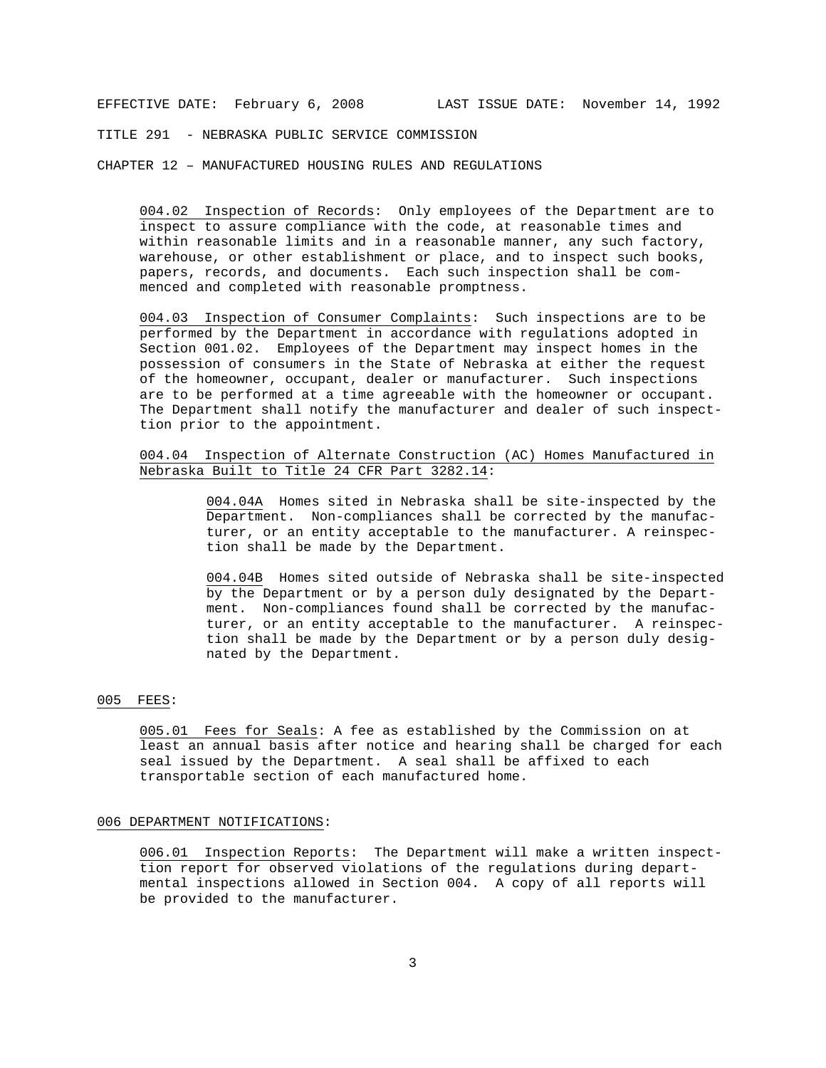TITLE 291 - NEBRASKA PUBLIC SERVICE COMMISSION

CHAPTER 12 – MANUFACTURED HOUSING RULES AND REGULATIONS

004.02 Inspection of Records: Only employees of the Department are to inspect to assure compliance with the code, at reasonable times and within reasonable limits and in a reasonable manner, any such factory, warehouse, or other establishment or place, and to inspect such books, papers, records, and documents. Each such inspection shall be commenced and completed with reasonable promptness.

004.03 Inspection of Consumer Complaints: Such inspections are to be performed by the Department in accordance with regulations adopted in Section 001.02. Employees of the Department may inspect homes in the possession of consumers in the State of Nebraska at either the request of the homeowner, occupant, dealer or manufacturer. Such inspections are to be performed at a time agreeable with the homeowner or occupant. The Department shall notify the manufacturer and dealer of such inspecttion prior to the appointment.

## 004.04 Inspection of Alternate Construction (AC) Homes Manufactured in Nebraska Built to Title 24 CFR Part 3282.14:

004.04A Homes sited in Nebraska shall be site-inspected by the Department. Non-compliances shall be corrected by the manufacturer, or an entity acceptable to the manufacturer. A reinspection shall be made by the Department.

004.04B Homes sited outside of Nebraska shall be site-inspected by the Department or by a person duly designated by the Department. Non-compliances found shall be corrected by the manufacturer, or an entity acceptable to the manufacturer. A reinspection shall be made by the Department or by a person duly designated by the Department.

#### 005 FEES:

005.01 Fees for Seals: A fee as established by the Commission on at least an annual basis after notice and hearing shall be charged for each seal issued by the Department. A seal shall be affixed to each transportable section of each manufactured home.

#### 006 DEPARTMENT NOTIFICATIONS:

006.01 Inspection Reports: The Department will make a written inspecttion report for observed violations of the regulations during departmental inspections allowed in Section 004. A copy of all reports will be provided to the manufacturer.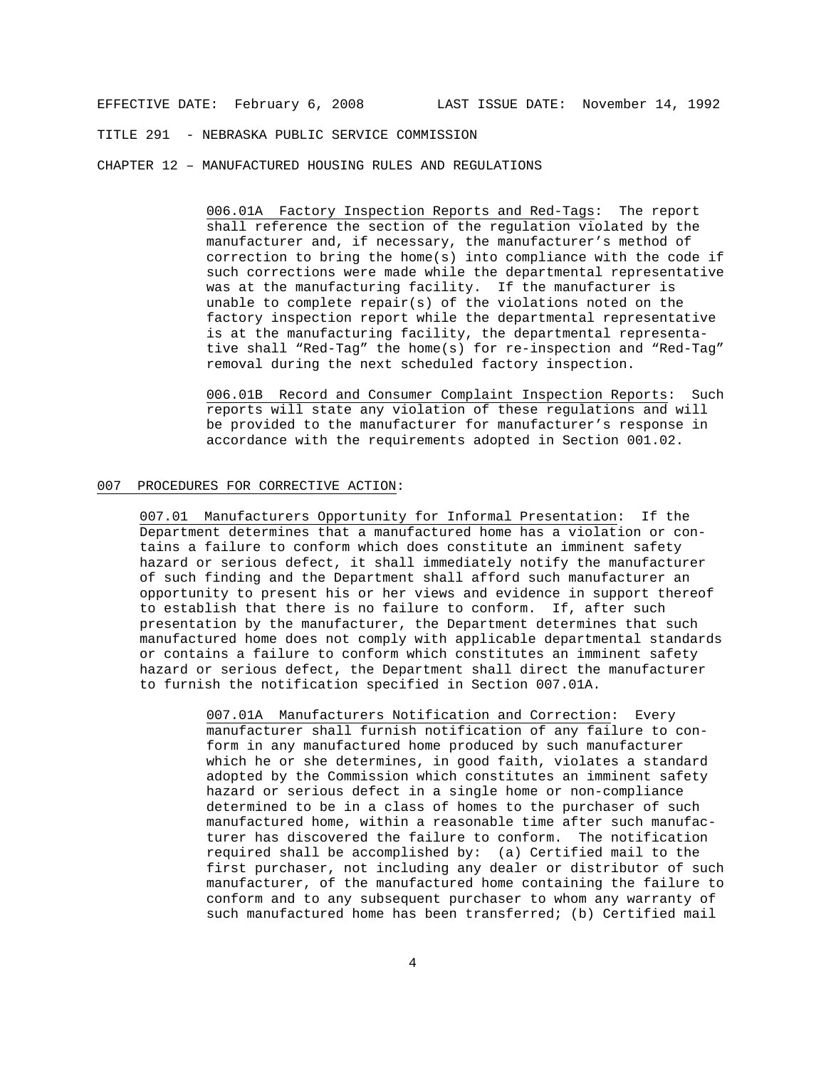TITLE 291 - NEBRASKA PUBLIC SERVICE COMMISSION

CHAPTER 12 – MANUFACTURED HOUSING RULES AND REGULATIONS

006.01A Factory Inspection Reports and Red-Tags: The report shall reference the section of the regulation violated by the manufacturer and, if necessary, the manufacturer's method of correction to bring the home(s) into compliance with the code if such corrections were made while the departmental representative was at the manufacturing facility. If the manufacturer is unable to complete repair(s) of the violations noted on the factory inspection report while the departmental representative is at the manufacturing facility, the departmental representative shall "Red-Tag" the home(s) for re-inspection and "Red-Tag" removal during the next scheduled factory inspection.

006.01B Record and Consumer Complaint Inspection Reports: Such reports will state any violation of these regulations and will be provided to the manufacturer for manufacturer's response in accordance with the requirements adopted in Section 001.02.

#### 007 PROCEDURES FOR CORRECTIVE ACTION:

007.01 Manufacturers Opportunity for Informal Presentation: If the Department determines that a manufactured home has a violation or contains a failure to conform which does constitute an imminent safety hazard or serious defect, it shall immediately notify the manufacturer of such finding and the Department shall afford such manufacturer an opportunity to present his or her views and evidence in support thereof to establish that there is no failure to conform. If, after such presentation by the manufacturer, the Department determines that such manufactured home does not comply with applicable departmental standards or contains a failure to conform which constitutes an imminent safety hazard or serious defect, the Department shall direct the manufacturer to furnish the notification specified in Section 007.01A.

> 007.01A Manufacturers Notification and Correction: Every manufacturer shall furnish notification of any failure to conform in any manufactured home produced by such manufacturer which he or she determines, in good faith, violates a standard adopted by the Commission which constitutes an imminent safety hazard or serious defect in a single home or non-compliance determined to be in a class of homes to the purchaser of such manufactured home, within a reasonable time after such manufacturer has discovered the failure to conform. The notification required shall be accomplished by: (a) Certified mail to the first purchaser, not including any dealer or distributor of such manufacturer, of the manufactured home containing the failure to conform and to any subsequent purchaser to whom any warranty of such manufactured home has been transferred; (b) Certified mail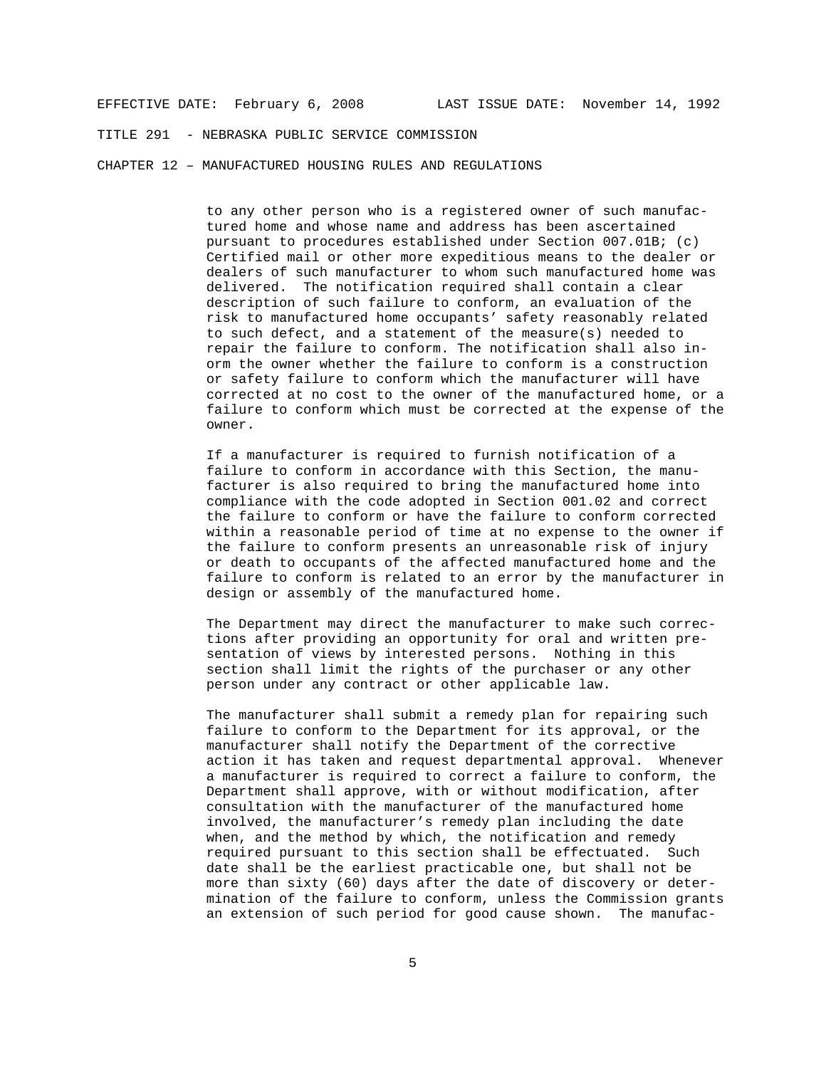TITLE 291 - NEBRASKA PUBLIC SERVICE COMMISSION

CHAPTER 12 – MANUFACTURED HOUSING RULES AND REGULATIONS

to any other person who is a registered owner of such manufactured home and whose name and address has been ascertained pursuant to procedures established under Section 007.01B; (c) Certified mail or other more expeditious means to the dealer or dealers of such manufacturer to whom such manufactured home was delivered. The notification required shall contain a clear description of such failure to conform, an evaluation of the risk to manufactured home occupants' safety reasonably related to such defect, and a statement of the measure(s) needed to repair the failure to conform. The notification shall also inorm the owner whether the failure to conform is a construction or safety failure to conform which the manufacturer will have corrected at no cost to the owner of the manufactured home, or a failure to conform which must be corrected at the expense of the owner.

If a manufacturer is required to furnish notification of a failure to conform in accordance with this Section, the manufacturer is also required to bring the manufactured home into compliance with the code adopted in Section 001.02 and correct the failure to conform or have the failure to conform corrected within a reasonable period of time at no expense to the owner if the failure to conform presents an unreasonable risk of injury or death to occupants of the affected manufactured home and the failure to conform is related to an error by the manufacturer in design or assembly of the manufactured home.

The Department may direct the manufacturer to make such corrections after providing an opportunity for oral and written presentation of views by interested persons. Nothing in this section shall limit the rights of the purchaser or any other person under any contract or other applicable law.

The manufacturer shall submit a remedy plan for repairing such failure to conform to the Department for its approval, or the manufacturer shall notify the Department of the corrective action it has taken and request departmental approval. Whenever a manufacturer is required to correct a failure to conform, the Department shall approve, with or without modification, after consultation with the manufacturer of the manufactured home involved, the manufacturer's remedy plan including the date when, and the method by which, the notification and remedy required pursuant to this section shall be effectuated. Such date shall be the earliest practicable one, but shall not be more than sixty (60) days after the date of discovery or determination of the failure to conform, unless the Commission grants an extension of such period for good cause shown. The manufac-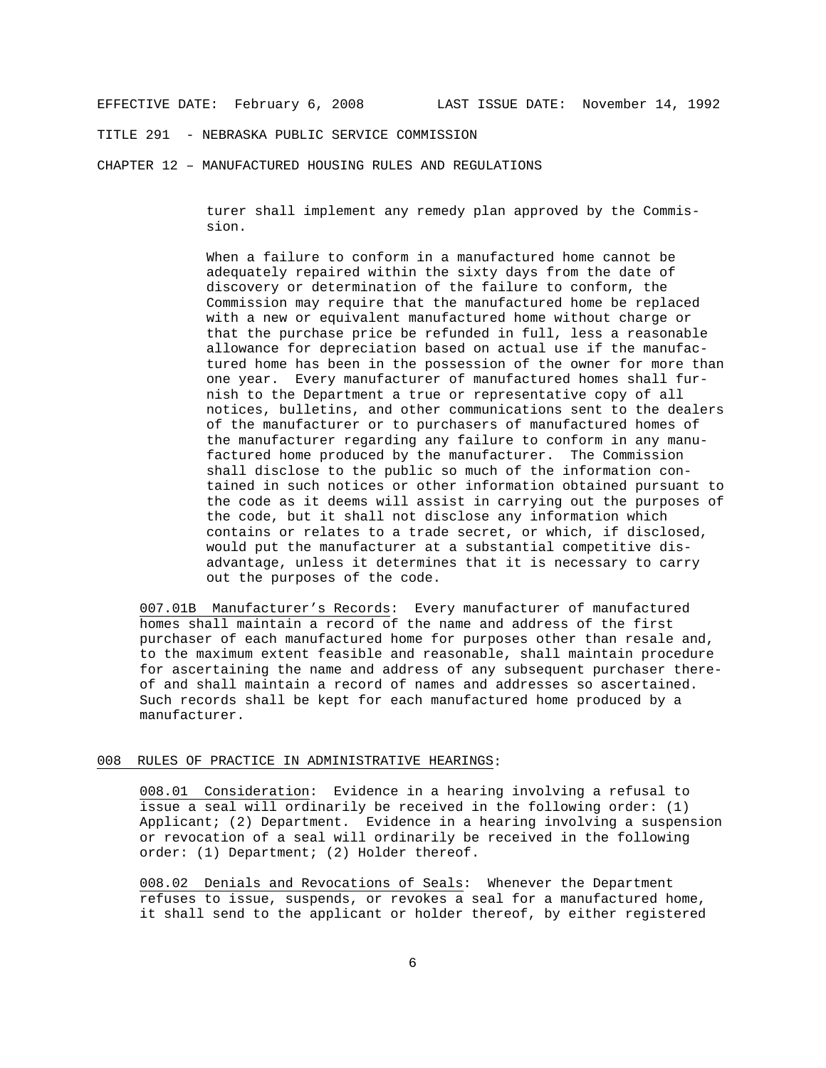TITLE 291 - NEBRASKA PUBLIC SERVICE COMMISSION

CHAPTER 12 – MANUFACTURED HOUSING RULES AND REGULATIONS

turer shall implement any remedy plan approved by the Commission.

When a failure to conform in a manufactured home cannot be adequately repaired within the sixty days from the date of discovery or determination of the failure to conform, the Commission may require that the manufactured home be replaced with a new or equivalent manufactured home without charge or that the purchase price be refunded in full, less a reasonable allowance for depreciation based on actual use if the manufactured home has been in the possession of the owner for more than one year. Every manufacturer of manufactured homes shall furnish to the Department a true or representative copy of all notices, bulletins, and other communications sent to the dealers of the manufacturer or to purchasers of manufactured homes of the manufacturer regarding any failure to conform in any manufactured home produced by the manufacturer. The Commission shall disclose to the public so much of the information contained in such notices or other information obtained pursuant to the code as it deems will assist in carrying out the purposes of the code, but it shall not disclose any information which contains or relates to a trade secret, or which, if disclosed, would put the manufacturer at a substantial competitive disadvantage, unless it determines that it is necessary to carry out the purposes of the code.

007.01B Manufacturer's Records: Every manufacturer of manufactured homes shall maintain a record of the name and address of the first purchaser of each manufactured home for purposes other than resale and, to the maximum extent feasible and reasonable, shall maintain procedure for ascertaining the name and address of any subsequent purchaser thereof and shall maintain a record of names and addresses so ascertained. Such records shall be kept for each manufactured home produced by a manufacturer.

#### 008 RULES OF PRACTICE IN ADMINISTRATIVE HEARINGS:

008.01 Consideration: Evidence in a hearing involving a refusal to issue a seal will ordinarily be received in the following order: (1) Applicant; (2) Department. Evidence in a hearing involving a suspension or revocation of a seal will ordinarily be received in the following order: (1) Department; (2) Holder thereof.

008.02 Denials and Revocations of Seals: Whenever the Department refuses to issue, suspends, or revokes a seal for a manufactured home, it shall send to the applicant or holder thereof, by either registered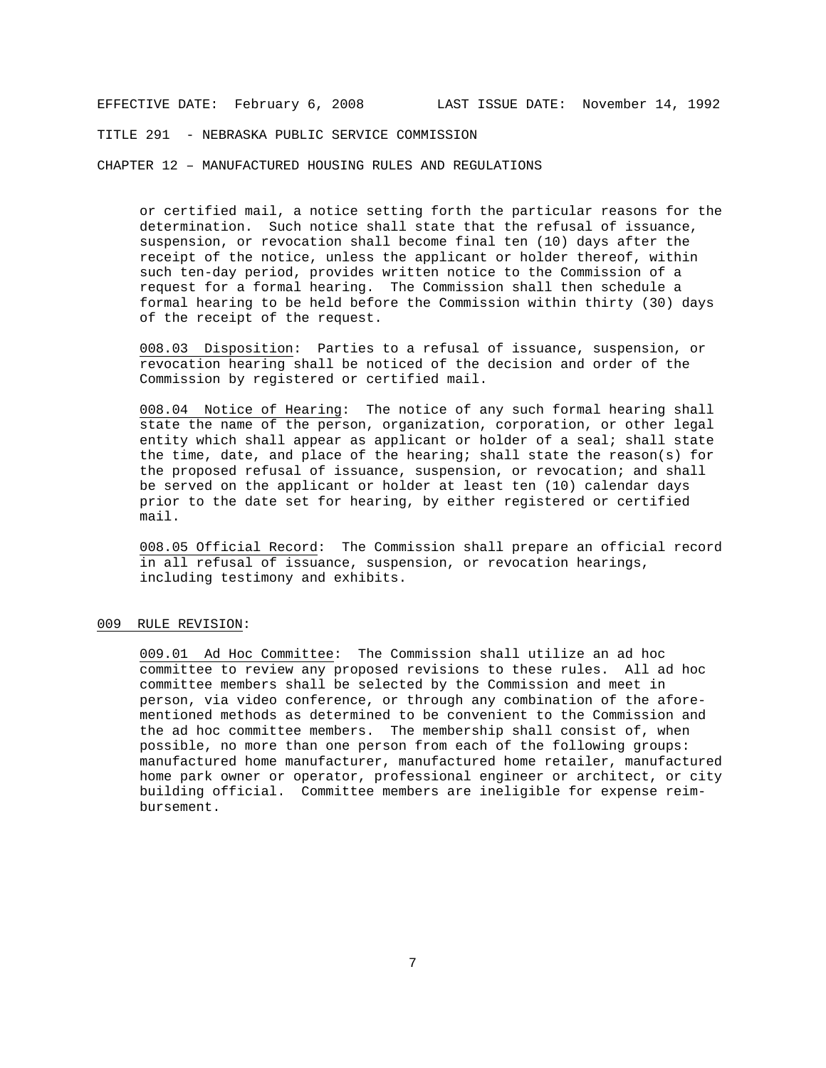TITLE 291 - NEBRASKA PUBLIC SERVICE COMMISSION

CHAPTER 12 – MANUFACTURED HOUSING RULES AND REGULATIONS

or certified mail, a notice setting forth the particular reasons for the determination. Such notice shall state that the refusal of issuance, suspension, or revocation shall become final ten (10) days after the receipt of the notice, unless the applicant or holder thereof, within such ten-day period, provides written notice to the Commission of a request for a formal hearing. The Commission shall then schedule a formal hearing to be held before the Commission within thirty (30) days of the receipt of the request.

008.03 Disposition: Parties to a refusal of issuance, suspension, or revocation hearing shall be noticed of the decision and order of the Commission by registered or certified mail.

008.04 Notice of Hearing: The notice of any such formal hearing shall state the name of the person, organization, corporation, or other legal entity which shall appear as applicant or holder of a seal; shall state the time, date, and place of the hearing; shall state the reason(s) for the proposed refusal of issuance, suspension, or revocation; and shall be served on the applicant or holder at least ten (10) calendar days prior to the date set for hearing, by either registered or certified mail.

008.05 Official Record: The Commission shall prepare an official record in all refusal of issuance, suspension, or revocation hearings, including testimony and exhibits.

#### 009 RULE REVISION:

009.01 Ad Hoc Committee: The Commission shall utilize an ad hoc committee to review any proposed revisions to these rules. All ad hoc committee members shall be selected by the Commission and meet in person, via video conference, or through any combination of the aforementioned methods as determined to be convenient to the Commission and the ad hoc committee members. The membership shall consist of, when possible, no more than one person from each of the following groups: manufactured home manufacturer, manufactured home retailer, manufactured home park owner or operator, professional engineer or architect, or city building official. Committee members are ineligible for expense reimbursement.